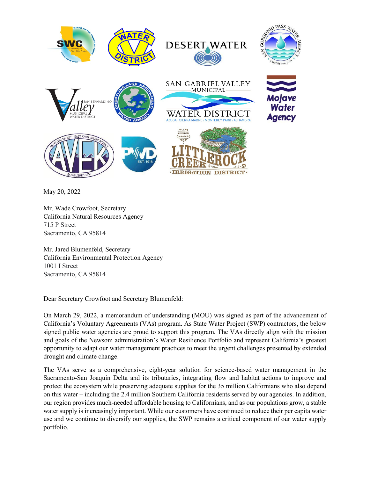

May 20, 2022

Mr. Wade Crowfoot, Secretary California Natural Resources Agency 715 P Street Sacramento, CA 95814

Mr. Jared Blumenfeld, Secretary California Environmental Protection Agency 1001 I Street Sacramento, CA 95814

Dear Secretary Crowfoot and Secretary Blumenfeld:

On March 29, 2022, a memorandum of understanding (MOU) was signed as part of the advancement of California's Voluntary Agreements (VAs) program. As State Water Project (SWP) contractors, the below signed public water agencies are proud to support this program. The VAs directly align with the mission and goals of the Newsom administration's Water Resilience Portfolio and represent California's greatest opportunity to adapt our water management practices to meet the urgent challenges presented by extended drought and climate change.

The VAs serve as a comprehensive, eight-year solution for science-based water management in the Sacramento-San Joaquin Delta and its tributaries, integrating flow and habitat actions to improve and protect the ecosystem while preserving adequate supplies for the 35 million Californians who also depend on this water – including the 2.4 million Southern California residents served by our agencies. In addition, our region provides much-needed affordable housing to Californians, and as our populations grow, a stable water supply is increasingly important. While our customers have continued to reduce their per capita water use and we continue to diversify our supplies, the SWP remains a critical component of our water supply portfolio.